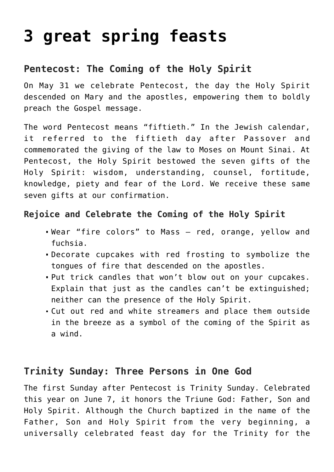# **[3 great spring feasts](https://teachingcatholickids.com/3-great-spring-feasts/)**

## **Pentecost: The Coming of the Holy Spirit**

On May 31 we celebrate Pentecost, the day the Holy Spirit descended on Mary and the apostles, empowering them to boldly preach the Gospel message.

The word Pentecost means "fiftieth." In the Jewish calendar, it referred to the fiftieth day after Passover and commemorated the giving of the law to Moses on Mount Sinai. At Pentecost, the Holy Spirit bestowed the seven gifts of the Holy Spirit: wisdom, understanding, counsel, fortitude, knowledge, piety and fear of the Lord. We receive these same seven gifts at our confirmation.

### **Rejoice and Celebrate the Coming of the Holy Spirit**

- Wear "fire colors" to Mass red, orange, yellow and fuchsia.
- Decorate cupcakes with red frosting to symbolize the tongues of fire that descended on the apostles.
- Put trick candles that won't blow out on your cupcakes. Explain that just as the candles can't be extinguished; neither can the presence of the Holy Spirit.
- Cut out red and white streamers and place them outside in the breeze as a symbol of the coming of the Spirit as a wind.

## **Trinity Sunday: Three Persons in One God**

The first Sunday after Pentecost is Trinity Sunday. Celebrated this year on June 7, it honors the Triune God: Father, Son and Holy Spirit. Although the Church baptized in the name of the Father, Son and Holy Spirit from the very beginning, a universally celebrated feast day for the Trinity for the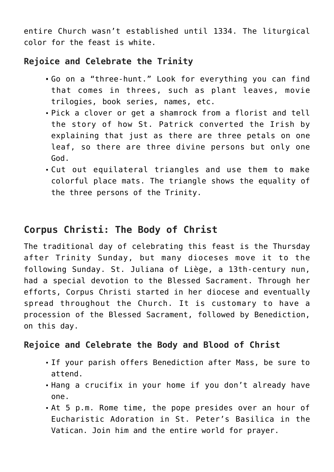entire Church wasn't established until 1334. The liturgical color for the feast is white.

#### **Rejoice and Celebrate the Trinity**

- Go on a "three-hunt." Look for everything you can find that comes in threes, such as plant leaves, movie trilogies, book series, names, etc.
- Pick a clover or get a shamrock from a florist and tell the story of how St. Patrick converted the Irish by explaining that just as there are three petals on one leaf, so there are three divine persons but only one God.
- Cut out equilateral triangles and use them to make colorful place mats. The triangle shows the equality of the three persons of the Trinity.

## **Corpus Christi: The Body of Christ**

The traditional day of celebrating this feast is the Thursday after Trinity Sunday, but many dioceses move it to the following Sunday. St. Juliana of Liège, a 13th-century nun, had a special devotion to the Blessed Sacrament. Through her efforts, Corpus Christi started in her diocese and eventually spread throughout the Church. It is customary to have a procession of the Blessed Sacrament, followed by Benediction, on this day.

#### **Rejoice and Celebrate the Body and Blood of Christ**

- If your parish offers Benediction after Mass, be sure to attend.
- Hang a crucifix in your home if you don't already have one.
- At 5 p.m. Rome time, the pope presides over an hour of Eucharistic Adoration in St. Peter's Basilica in the Vatican. Join him and the entire world for prayer.